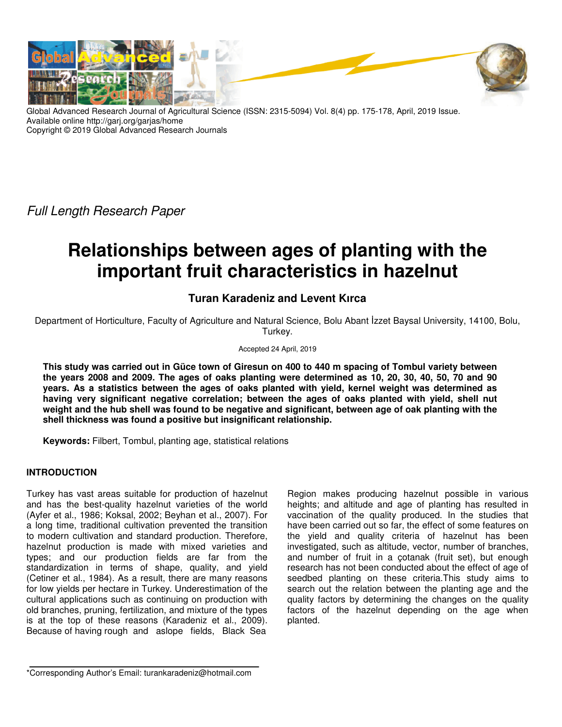

Global Advanced Research Journal of Agricultural Science (ISSN: 2315-5094) Vol. 8(4) pp. 175-178, April, 2019 Issue. Available online http://garj.org/garjas/home Copyright © 2019 Global Advanced Research Journals

Full Length Research Paper

# **Relationships between ages of planting with the important fruit characteristics in hazelnut**

# **Turan Karadeniz and Levent Kırca**

Department of Horticulture, Faculty of Agriculture and Natural Science, Bolu Abant İzzet Baysal University, 14100, Bolu, Turkey.

Accepted 24 April, 2019

**This study was carried out in Güce town of Giresun on 400 to 440 m spacing of Tombul variety between the years 2008 and 2009. The ages of oaks planting were determined as 10, 20, 30, 40, 50, 70 and 90 years. As a statistics between the ages of oaks planted with yield, kernel weight was determined as having very significant negative correlation; between the ages of oaks planted with yield, shell nut weight and the hub shell was found to be negative and significant, between age of oak planting with the shell thickness was found a positive but insignificant relationship.** 

**Keywords:** Filbert, Tombul, planting age, statistical relations

## **INTRODUCTION**

Turkey has vast areas suitable for production of hazelnut and has the best-quality hazelnut varieties of the world (Ayfer et al., 1986; Koksal, 2002; Beyhan et al., 2007). For a long time, traditional cultivation prevented the transition to modern cultivation and standard production. Therefore, hazelnut production is made with mixed varieties and types; and our production fields are far from the standardization in terms of shape, quality, and yield (Cetiner et al., 1984). As a result, there are many reasons for low yields per hectare in Turkey. Underestimation of the cultural applications such as continuing on production with old branches, pruning, fertilization, and mixture of the types is at the top of these reasons (Karadeniz et al., 2009). Because of having rough and aslope fields, Black Sea

Region makes producing hazelnut possible in various heights; and altitude and age of planting has resulted in vaccination of the quality produced. In the studies that have been carried out so far, the effect of some features on the yield and quality criteria of hazelnut has been investigated, such as altitude, vector, number of branches, and number of fruit in a çotanak (fruit set), but enough research has not been conducted about the effect of age of seedbed planting on these criteria.This study aims to search out the relation between the planting age and the quality factors by determining the changes on the quality factors of the hazelnut depending on the age when planted.

\*Corresponding Author's Email: turankaradeniz@hotmail.com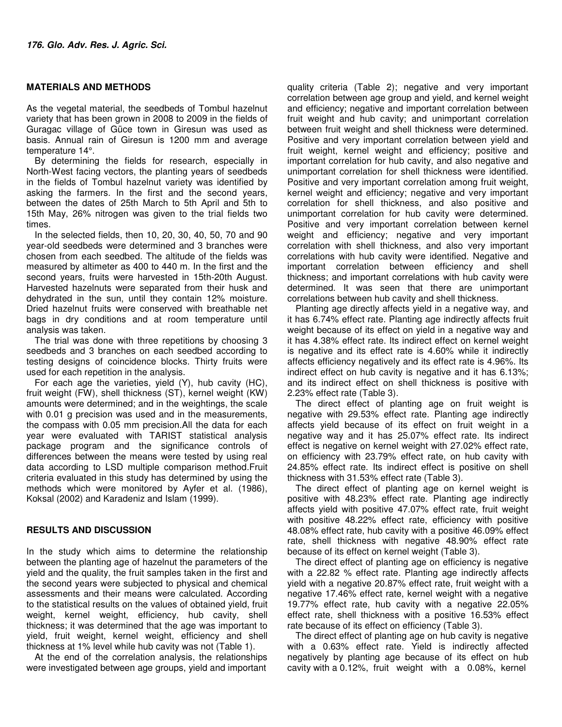#### **MATERIALS AND METHODS**

As the vegetal material, the seedbeds of Tombul hazelnut variety that has been grown in 2008 to 2009 in the fields of Guragac village of Güce town in Giresun was used as basis. Annual rain of Giresun is 1200 mm and average temperature 14°.

By determining the fields for research, especially in North-West facing vectors, the planting years of seedbeds in the fields of Tombul hazelnut variety was identified by asking the farmers. In the first and the second years, between the dates of 25th March to 5th April and 5th to 15th May, 26% nitrogen was given to the trial fields two times.

In the selected fields, then 10, 20, 30, 40, 50, 70 and 90 year-old seedbeds were determined and 3 branches were chosen from each seedbed. The altitude of the fields was measured by altimeter as 400 to 440 m. In the first and the second years, fruits were harvested in 15th-20th August. Harvested hazelnuts were separated from their husk and dehydrated in the sun, until they contain 12% moisture. Dried hazelnut fruits were conserved with breathable net bags in dry conditions and at room temperature until analysis was taken.

The trial was done with three repetitions by choosing 3 seedbeds and 3 branches on each seedbed according to testing designs of coincidence blocks. Thirty fruits were used for each repetition in the analysis.

For each age the varieties, yield (Y), hub cavity (HC), fruit weight (FW), shell thickness (ST), kernel weight (KW) amounts were determined; and in the weightings, the scale with 0.01 g precision was used and in the measurements, the compass with 0.05 mm precision.All the data for each year were evaluated with TARIST statistical analysis package program and the significance controls of differences between the means were tested by using real data according to LSD multiple comparison method.Fruit criteria evaluated in this study has determined by using the methods which were monitored by Ayfer et al. (1986), Koksal (2002) and Karadeniz and Islam (1999).

#### **RESULTS AND DISCUSSION**

In the study which aims to determine the relationship between the planting age of hazelnut the parameters of the yield and the quality, the fruit samples taken in the first and the second years were subjected to physical and chemical assessments and their means were calculated. According to the statistical results on the values of obtained yield, fruit weight, kernel weight, efficiency, hub cavity, shell thickness; it was determined that the age was important to yield, fruit weight, kernel weight, efficiency and shell thickness at 1% level while hub cavity was not (Table 1).

At the end of the correlation analysis, the relationships were investigated between age groups, yield and important quality criteria (Table 2); negative and very important correlation between age group and yield, and kernel weight and efficiency; negative and important correlation between fruit weight and hub cavity; and unimportant correlation between fruit weight and shell thickness were determined. Positive and very important correlation between yield and fruit weight, kernel weight and efficiency; positive and important correlation for hub cavity, and also negative and unimportant correlation for shell thickness were identified. Positive and very important correlation among fruit weight, kernel weight and efficiency; negative and very important correlation for shell thickness, and also positive and unimportant correlation for hub cavity were determined. Positive and very important correlation between kernel weight and efficiency; negative and very important correlation with shell thickness, and also very important correlations with hub cavity were identified. Negative and important correlation between efficiency and shell thickness; and important correlations with hub cavity were determined. It was seen that there are unimportant correlations between hub cavity and shell thickness.

Planting age directly affects yield in a negative way, and it has 6.74% effect rate. Planting age indirectly affects fruit weight because of its effect on yield in a negative way and it has 4.38% effect rate. Its indirect effect on kernel weight is negative and its effect rate is 4.60% while it indirectly affects efficiency negatively and its effect rate is 4.96%. Its indirect effect on hub cavity is negative and it has 6.13%; and its indirect effect on shell thickness is positive with 2.23% effect rate (Table 3).

The direct effect of planting age on fruit weight is negative with 29.53% effect rate. Planting age indirectly affects yield because of its effect on fruit weight in a negative way and it has 25.07% effect rate. Its indirect effect is negative on kernel weight with 27.02% effect rate, on efficiency with 23.79% effect rate, on hub cavity with 24.85% effect rate. Its indirect effect is positive on shell thickness with 31.53% effect rate (Table 3).

The direct effect of planting age on kernel weight is positive with 48.23% effect rate. Planting age indirectly affects yield with positive 47.07% effect rate, fruit weight with positive 48.22% effect rate, efficiency with positive 48.08% effect rate, hub cavity with a positive 46.09% effect rate, shell thickness with negative 48.90% effect rate because of its effect on kernel weight (Table 3).

The direct effect of planting age on efficiency is negative with a 22.82 % effect rate. Planting age indirectly affects yield with a negative 20.87% effect rate, fruit weight with a negative 17.46% effect rate, kernel weight with a negative 19.77% effect rate, hub cavity with a negative 22.05% effect rate, shell thickness with a positive 16.53% effect rate because of its effect on efficiency (Table 3).

The direct effect of planting age on hub cavity is negative with a 0.63% effect rate. Yield is indirectly affected negatively by planting age because of its effect on hub cavity with a 0.12%, fruit weight with a 0.08%, kernel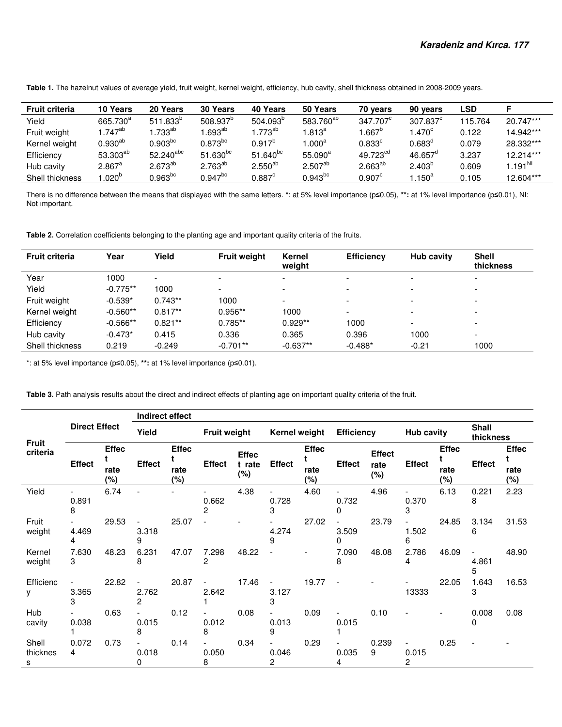**Table 1.** The hazelnut values of average yield, fruit weight, kernel weight, efficiency, hub cavity, shell thickness obtained in 2008-2009 years.

| <b>Fruit criteria</b> | 10 Years             | 20 Years              | 30 Years              | 40 Years        | 50 Years              | 70 years             | 90 years         | LSD     |                     |
|-----------------------|----------------------|-----------------------|-----------------------|-----------------|-----------------------|----------------------|------------------|---------|---------------------|
| Yield                 | 665.730 <sup>a</sup> | $511.833^{o}$         | 508.937 <sup>p</sup>  | $504.093^{o}$   | 583.760 <sup>ab</sup> | 347.707 <sup>c</sup> | $307.837^c$      | 115.764 | 20.747***           |
| Fruit weight          | $.747^{ab}$          | $.733^{\sf ab}$       | .693 <sup>ab</sup>    | $1.773^{ab}$    | $1.813^a$             | $.667^{\circ}$       | $1.470^\circ$    | 0.122   | 14.942***           |
| Kernel weight         | $0.930^{\sf ab}$     | $0.903^{bc}$          | $0.873$ <sup>bc</sup> | $0.917^{b}$     | 1.000 $^{\rm a}$      | $0.833^{\circ}$      | $0.683^{\circ}$  | 0.079   | 28.332***           |
| Efficiency            | 53.303 <sup>ab</sup> | $52.240^{abc}$        | $51.630^{bc}$         | $51.640^{bc}$   | $55.090^a$            | 49.723 <sup>cd</sup> | $46.657^{\circ}$ | 3.237   | 12.214***           |
| Hub cavity            | $2.867$ <sup>a</sup> | $2.673^{ab}$          | $2.763^{ab}$          | $2.550^{ab}$    | $2.507^{ab}$          | $2.663^{ab}$         | $2.403^{b}$      | 0.609   | $1.191^{\text{NI}}$ |
| Shell thickness       | .020 <sup>b</sup>    | $0.963$ <sub>bc</sub> | $0.947^{bc}$          | $0.887^{\circ}$ | $0.943^{bc}$          | $0.907^{\circ}$      | $1.150^a$        | 0.105   | 12.604***           |

There is no difference between the means that displayed with the same letters. **\***: at 5% level importance (p≤0.05), **\*\*:** at 1% level importance (p≤0.01), NI: Not ımportant.

**Table 2.** Correlation coefficients belonging to the planting age and important quality criteria of the fruits.

| <b>Fruit criteria</b> | Year       | Yield                    | <b>Fruit weight</b>      | Kernel<br>weight         | <b>Efficiency</b>        | Hub cavity               | <b>Shell</b><br>thickness |
|-----------------------|------------|--------------------------|--------------------------|--------------------------|--------------------------|--------------------------|---------------------------|
| Year                  | 1000       | $\overline{\phantom{a}}$ | $\overline{\phantom{a}}$ | $\overline{\phantom{a}}$ | $\overline{\phantom{0}}$ | $\overline{\phantom{a}}$ | $\overline{\phantom{a}}$  |
| Yield                 | $-0.775**$ | 1000                     | $\overline{\phantom{0}}$ |                          | $\overline{\phantom{0}}$ | $\overline{\phantom{a}}$ | $\overline{\phantom{a}}$  |
| Fruit weight          | $-0.539*$  | $0.743**$                | 1000                     |                          | $\overline{\phantom{0}}$ |                          | $\overline{\phantom{a}}$  |
| Kernel weight         | $-0.560**$ | $0.817**$                | $0.956**$                | 1000                     | $\overline{\phantom{0}}$ | $\overline{\phantom{a}}$ | $\overline{\phantom{0}}$  |
| Efficiency            | $-0.566**$ | $0.821**$                | $0.785**$                | $0.929**$                | 1000                     |                          | $\overline{\phantom{a}}$  |
| Hub cavity            | $-0.473*$  | 0.415                    | 0.336                    | 0.365                    | 0.396                    | 1000                     | -                         |
| Shell thickness       | 0.219      | $-0.249$                 | $-0.701**$               | $-0.637**$               | $-0.488*$                | $-0.21$                  | 1000                      |

\*: at 5% level importance (p≤0.05), **\*\*:** at 1% level importance (p≤0.01).

Table 3. Path analysis results about the direct and indirect effects of planting age on important quality criteria of the fruit.

|                          |                      |                             | Indirect effect |                                  |                                        |                               |                                        |                                   |                                   |                              |                                        |                                     |                           |                                     |
|--------------------------|----------------------|-----------------------------|-----------------|----------------------------------|----------------------------------------|-------------------------------|----------------------------------------|-----------------------------------|-----------------------------------|------------------------------|----------------------------------------|-------------------------------------|---------------------------|-------------------------------------|
| <b>Fruit</b><br>criteria | <b>Direct Effect</b> |                             | Yield           |                                  | <b>Fruit weight</b>                    |                               | Kernel weight                          |                                   | <b>Efficiency</b>                 |                              | <b>Hub cavity</b>                      |                                     | <b>Shall</b><br>thickness |                                     |
|                          | <b>Effect</b>        | <b>Effec</b><br>rate<br>(%) | <b>Effect</b>   | <b>Effec</b><br>t<br>rate<br>(%) | <b>Effect</b>                          | <b>Effec</b><br>t rate<br>(%) | <b>Effect</b>                          | <b>Effec</b><br>t.<br>rate<br>(%) | Effect                            | <b>Effect</b><br>rate<br>(%) | <b>Effect</b>                          | <b>Effec</b><br>t<br>rate<br>$(\%)$ | <b>Effect</b>             | <b>Effec</b><br>t<br>rate<br>$(\%)$ |
| Yield                    | 0.891<br>8           | 6.74                        |                 |                                  | $\overline{\phantom{a}}$<br>0.662<br>2 | 4.38                          | 0.728<br>3                             | 4.60                              | $\overline{\phantom{0}}$<br>0.732 | 4.96                         | $\overline{\phantom{0}}$<br>0.370<br>3 | 6.13                                | 0.221<br>8                | 2.23                                |
| Fruit<br>weight          | 4.469<br>4           | 29.53                       | 3.318<br>9      | 25.07                            |                                        |                               | 4.274<br>9                             | 27.02                             | 3.509<br>0                        | 23.79                        | 1.502<br>6                             | 24.85                               | 3.134<br>6                | 31.53                               |
| Kernel<br>weight         | 7.630<br>3           | 48.23                       | 6.231<br>8      | 47.07                            | 7.298<br>2                             | 48.22                         |                                        |                                   | 7.090<br>8                        | 48.08                        | 2.786<br>4                             | 46.09                               | 4.861<br>5                | 48.90                               |
| Efficienc<br>y           | 3.365<br>3           | 22.82                       | 2.762<br>2      | 20.87                            | 2.642                                  | 17.46                         | 3.127<br>З                             | 19.77                             |                                   |                              | 13333                                  | 22.05                               | 1.643<br>3                | 16.53                               |
| Hub<br>cavity            | $\sim$<br>0.038      | 0.63                        | 0.015<br>8      | 0.12                             | 0.012<br>8                             | 0.08                          | 0.013<br>9                             | 0.09                              | 0.015                             | 0.10                         |                                        |                                     | 0.008<br>0                | 0.08                                |
| Shell<br>thicknes<br>s   | 0.072<br>4           | 0.73                        | 0.018<br>0      | 0.14                             | 0.050<br>8                             | 0.34                          | $\overline{\phantom{a}}$<br>0.046<br>2 | 0.29                              | 0.035<br>4                        | 0.239<br>9                   | $\overline{\phantom{a}}$<br>0.015<br>2 | 0.25                                | $\overline{\phantom{a}}$  |                                     |